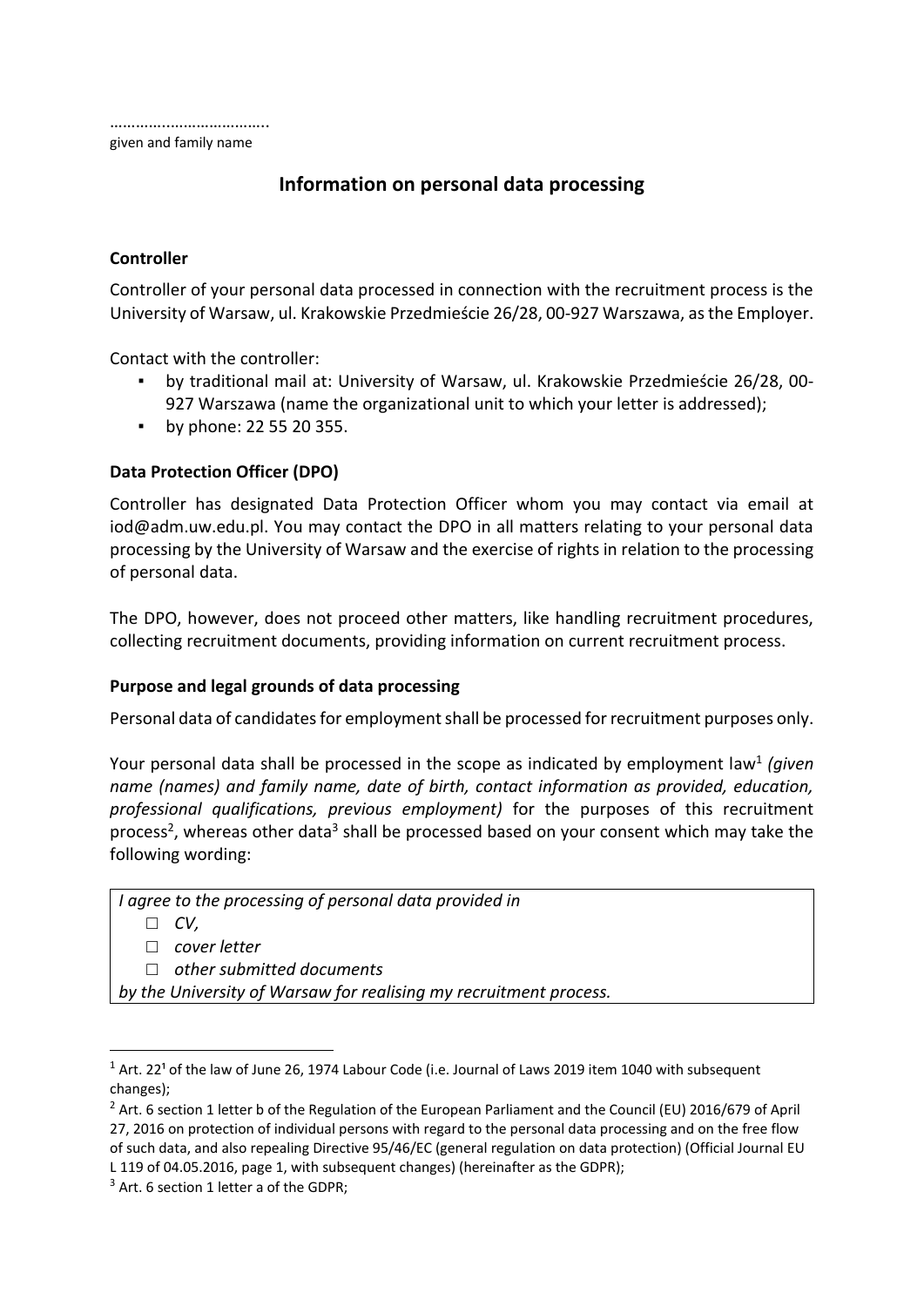# **Information on personal data processing**

# **Controller**

Controller of your personal data processed in connection with the recruitment process is the University of Warsaw, ul. Krakowskie Przedmieście 26/28, 00-927 Warszawa, as the Employer.

Contact with the controller:

- by traditional mail at: University of Warsaw, ul. Krakowskie Przedmieście 26/28, 00- 927 Warszawa (name the organizational unit to which your letter is addressed);
- by phone: 22 55 20 355.

# **Data Protection Officer (DPO)**

Controller has designated Data Protection Officer whom you may contact via email at [iod@adm.uw.edu.pl.](mailto:iod@adm.uw.edu.pl) You may contact the DPO in all matters relating to your personal data processing by the University of Warsaw and the exercise of rights in relation to the processing of personal data.

The DPO, however, does not proceed other matters, like handling recruitment procedures, collecting recruitment documents, providing information on current recruitment process.

# **Purpose and legal grounds of data processing**

Personal data of candidates for employment shall be processed for recruitment purposes only.

Your personal data shall be processed in the scope as indicated by employment law<sup>1</sup> (given *name (names) and family name, date of birth, contact information as provided, education, professional qualifications, previous employment)* for the purposes of this recruitment process<sup>2</sup>, whereas other data<sup>3</sup> shall be processed based on your consent which may take the following wording:

*I agree to the processing of personal data provided in* 

□ *CV,*

**.** 

□ *cover letter*

□ *other submitted documents* 

*by the University of Warsaw for realising my recruitment process.*

 $1$  Art. 22<sup>1</sup> of the law of June 26, 1974 Labour Code (i.e. Journal of Laws 2019 item 1040 with subsequent changes);

<sup>&</sup>lt;sup>2</sup> Art. 6 section 1 letter b of the Regulation of the European Parliament and the Council (EU) 2016/679 of April 27, 2016 on protection of individual persons with regard to the personal data processing and on the free flow of such data, and also repealing Directive 95/46/EC (general regulation on data protection) (Official Journal EU L 119 of 04.05.2016, page 1, with subsequent changes) (hereinafter as the GDPR);

 $3$  Art. 6 section 1 letter a of the GDPR;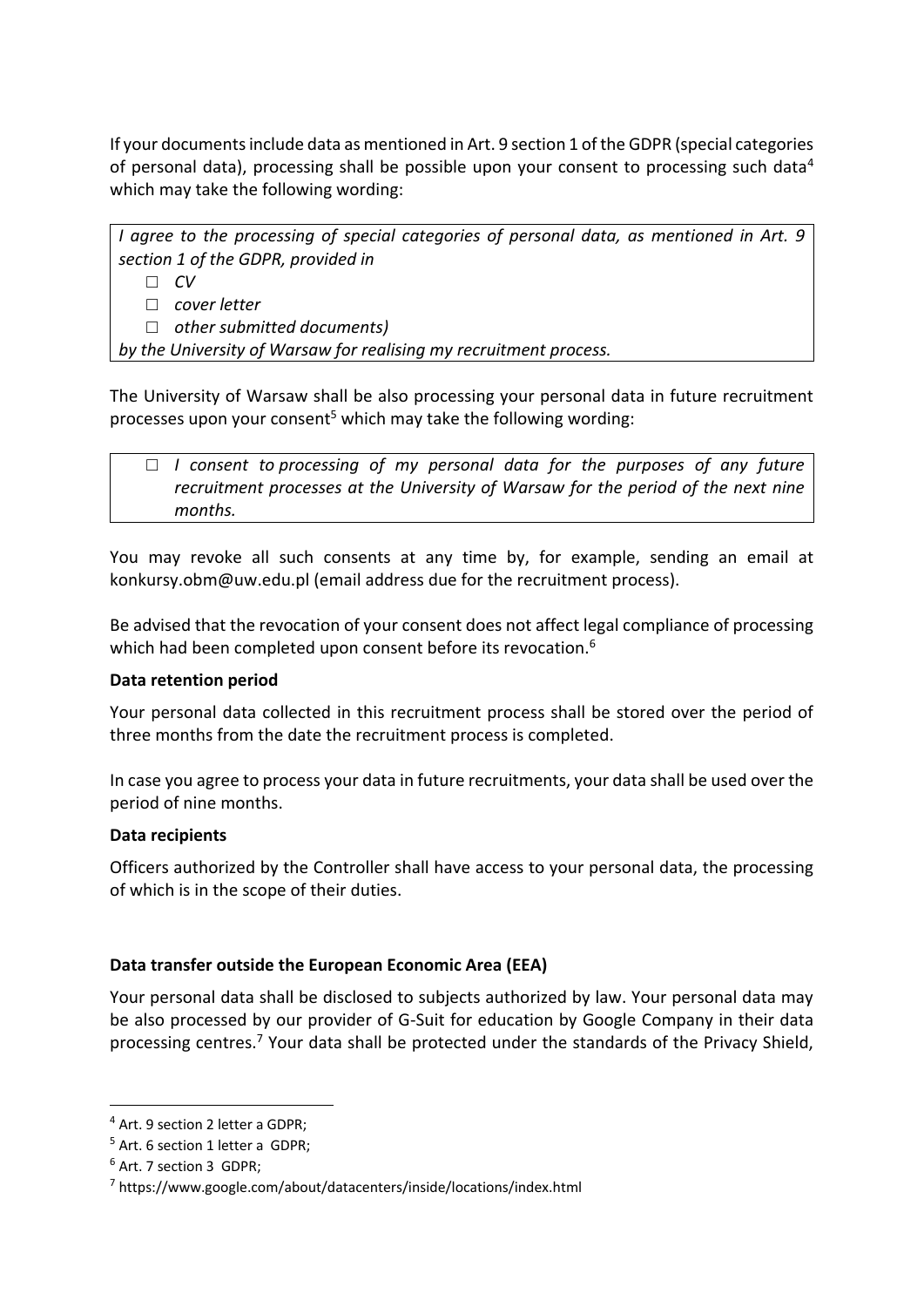If your documents include data as mentioned in Art. 9 section 1 of the GDPR (special categories of personal data), processing shall be possible upon your consent to processing such data<sup>4</sup> which may take the following wording:

*I agree to the processing of special categories of personal data, as mentioned in Art. 9 section 1 of the GDPR, provided in* 

□ *CV*

□ *cover letter* 

□ *other submitted documents)* 

*by the University of Warsaw for realising my recruitment process.*

The University of Warsaw shall be also processing your personal data in future recruitment processes upon your consent<sup>5</sup> which may take the following wording:

□ *I* consent to processing of my personal data for the purposes of any future *recruitment processes at the University of Warsaw for the period of the next nine months.*

You may revoke all such consents at any time by, for example, sending an email at konkursy.obm@uw.edu.pl (email address due for the recruitment process).

Be advised that the revocation of your consent does not affect legal compliance of processing which had been completed upon consent before its revocation.<sup>6</sup>

#### **Data retention period**

Your personal data collected in this recruitment process shall be stored over the period of three months from the date the recruitment process is completed.

In case you agree to process your data in future recruitments, your data shall be used over the period of nine months.

#### **Data recipients**

Officers authorized by the Controller shall have access to your personal data, the processing of which is in the scope of their duties.

# **Data transfer outside the European Economic Area (EEA)**

Your personal data shall be disclosed to subjects authorized by law. Your personal data may be also processed by our provider of G-Suit for education by Google Company in their data processing centres.<sup>7</sup> Your data shall be protected under the standards of the Privacy Shield,

1

<sup>4</sup> Art. 9 section 2 letter a GDPR;

<sup>5</sup> Art. 6 section 1 letter a GDPR;

<sup>6</sup> Art. 7 section 3 GDPR;

<sup>&</sup>lt;sup>7</sup> https://www.google.com/about/datacenters/inside/locations/index.html